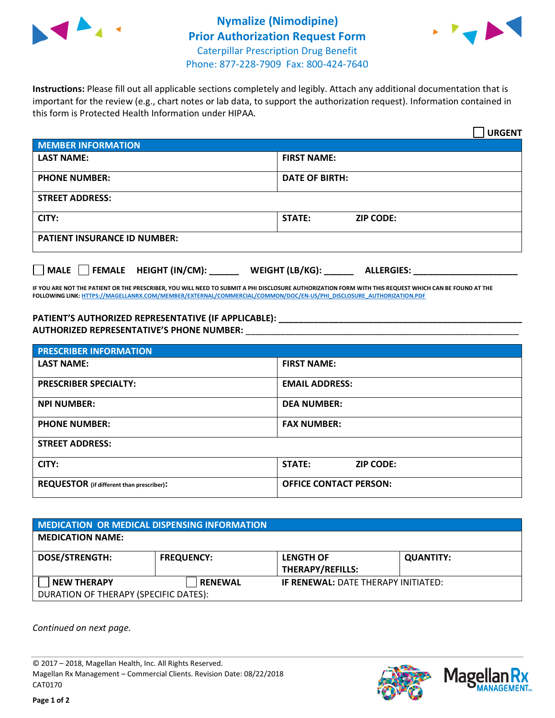



**Instructions:** Please fill out all applicable sections completely and legibly. Attach any additional documentation that is important for the review (e.g., chart notes or lab data, to support the authorization request). Information contained in this form is Protected Health Information under HIPAA.

|                                                                               | <b>URGENT</b>              |  |  |  |
|-------------------------------------------------------------------------------|----------------------------|--|--|--|
| <b>MEMBER INFORMATION</b>                                                     |                            |  |  |  |
| <b>LAST NAME:</b>                                                             | <b>FIRST NAME:</b>         |  |  |  |
| <b>PHONE NUMBER:</b>                                                          | <b>DATE OF BIRTH:</b>      |  |  |  |
| <b>STREET ADDRESS:</b>                                                        |                            |  |  |  |
| CITY:                                                                         | <b>ZIP CODE:</b><br>STATE: |  |  |  |
| <b>PATIENT INSURANCE ID NUMBER:</b>                                           |                            |  |  |  |
| FEMALE HEIGHT (IN/CM):<br><b>MALE</b><br>WEIGHT (LB/KG):<br><b>ALLERGIES:</b> |                            |  |  |  |

**IF YOU ARE NOT THE PATIENT OR THE PRESCRIBER, YOU WILL NEED TO SUBMIT A PHI DISCLOSURE AUTHORIZATION FORM WITH THIS REQUEST WHICH CAN BE FOUND AT THE FOLLOWING LINK[: HTTPS://MAGELLANRX.COM/MEMBER/EXTERNAL/COMMERCIAL/COMMON/DOC/EN-US/PHI\\_DISCLOSURE\\_AUTHORIZATION.PDF](https://magellanrx.com/member/external/commercial/common/doc/en-us/PHI_Disclosure_Authorization.pdf)**

**PATIENT'S AUTHORIZED REPRESENTATIVE (IF APPLICABLE): \_\_\_\_\_\_\_\_\_\_\_\_\_\_\_\_\_\_\_\_\_\_\_\_\_\_\_\_\_\_\_\_\_\_\_\_\_\_\_\_\_\_\_\_\_\_\_\_\_ AUTHORIZED REPRESENTATIVE'S PHONE NUMBER:** \_\_\_\_\_\_\_\_\_\_\_\_\_\_\_\_\_\_\_\_\_\_\_\_\_\_\_\_\_\_\_\_\_\_\_\_\_\_\_\_\_\_\_\_\_\_\_\_\_\_\_\_\_\_\_

| <b>PRESCRIBER INFORMATION</b>             |                                   |  |  |  |
|-------------------------------------------|-----------------------------------|--|--|--|
| <b>LAST NAME:</b>                         | <b>FIRST NAME:</b>                |  |  |  |
| <b>PRESCRIBER SPECIALTY:</b>              | <b>EMAIL ADDRESS:</b>             |  |  |  |
| <b>NPI NUMBER:</b>                        | <b>DEA NUMBER:</b>                |  |  |  |
| <b>PHONE NUMBER:</b>                      | <b>FAX NUMBER:</b>                |  |  |  |
| <b>STREET ADDRESS:</b>                    |                                   |  |  |  |
| CITY:                                     | <b>STATE:</b><br><b>ZIP CODE:</b> |  |  |  |
| REQUESTOR (if different than prescriber): | <b>OFFICE CONTACT PERSON:</b>     |  |  |  |

| <b>MEDICATION OR MEDICAL DISPENSING INFORMATION</b> |                   |                                            |                  |  |  |
|-----------------------------------------------------|-------------------|--------------------------------------------|------------------|--|--|
| <b>MEDICATION NAME:</b>                             |                   |                                            |                  |  |  |
| <b>DOSE/STRENGTH:</b>                               | <b>FREQUENCY:</b> | <b>LENGTH OF</b>                           | <b>QUANTITY:</b> |  |  |
|                                                     |                   | <b>THERAPY/REFILLS:</b>                    |                  |  |  |
| <b>NEW THERAPY</b>                                  | <b>RENEWAL</b>    | <b>IF RENEWAL: DATE THERAPY INITIATED:</b> |                  |  |  |
| DURATION OF THERAPY (SPECIFIC DATES):               |                   |                                            |                  |  |  |

*Continued on next page.*

© 2017 – 2018, Magellan Health, Inc. All Rights Reserved. Magellan Rx Management – Commercial Clients. Revision Date: 08/22/2018 CAT0170